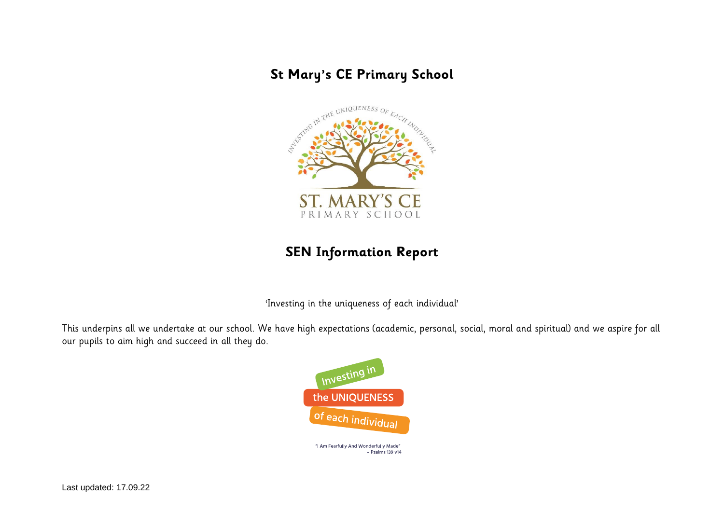# **St Mary's CE Primary School**



# **SEN Information Report**

'Investing in the uniqueness of each individual'

This underpins all we undertake at our school. We have high expectations (academic, personal, social, moral and spiritual) and we aspire for all our pupils to aim high and succeed in all they do.



"I Am Fearfully And Wonderfully Made" - Psalms 139 v14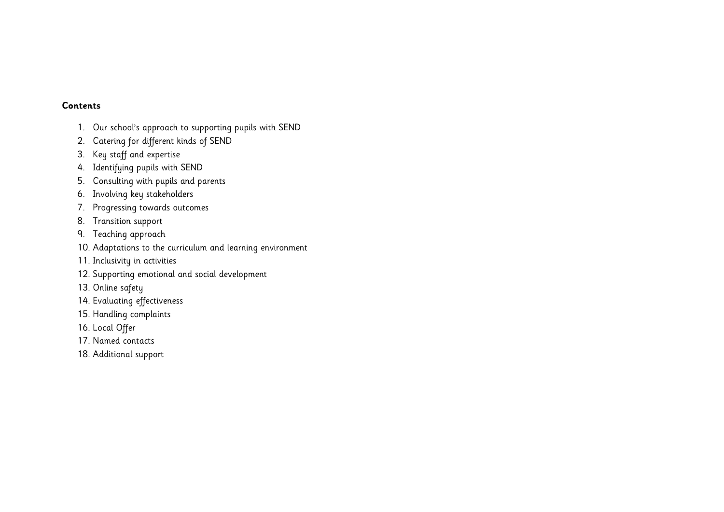#### **Contents**

- 1. [Our school's approach to supporting pupils with SEND](#page-2-0)
- 2. [Catering for different kinds of SEND](#page-2-1)
- 3. [Key staff and expertise](#page-3-0)
- 4. [Identifying pupils with SEND](#page-4-0)
- 5. [Consulting with pupils and parents](#page-5-0)
- 6. [Involving key stakeholders](#page-6-0)
- 7. Progressing towards outcomes
- 8. [Transition support](#page-7-0)
- 9. [Teaching approach](#page-6-1)
- 10. [Adaptations to the curriculum and learning environment](#page-7-1)
- 11. [Inclusivity in activities](#page-8-0)
- 12. [Supporting emotional and social development](#page-8-1)
- 13. [Online safety](#page-9-0)
- 14. [Evaluating effectiveness](#page-9-1)
- 15. [Handling complaints](#page-10-0)
- 16. [Local Offer](#page-10-1)
- 17. [Named contacts](#page-11-0)
- 18. [Additional support](#page-12-0)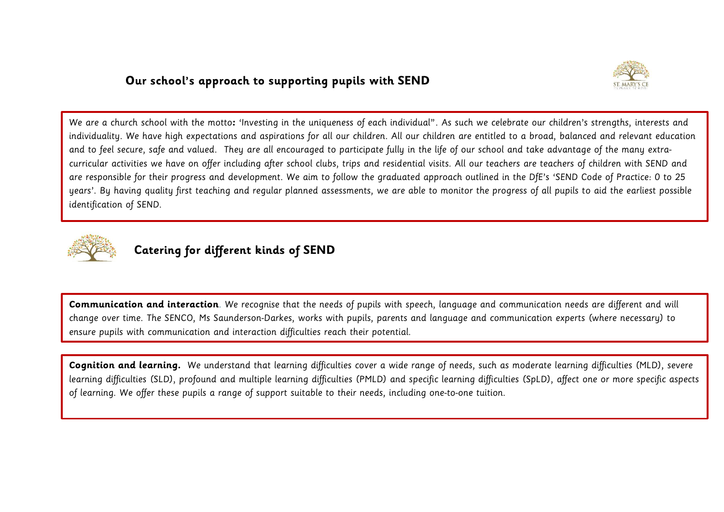### <span id="page-2-0"></span>**Our school's approach to supporting pupils with SEND**



We are a church school with the motto**:** 'Investing in the uniqueness of each individual". As such we celebrate our children's strengths, interests and individuality. We have high expectations and aspirations for all our children. All our children are entitled to a broad, balanced and relevant education and to feel secure, safe and valued. They are all encouraged to participate fully in the life of our school and take advantage of the many extracurricular activities we have on offer including after school clubs, trips and residential visits. All our teachers are teachers of children with SEND and are responsible for their progress and development. We aim to follow the graduated approach outlined in the DfE's 'SEND Code of Practice: 0 to 25 years'. By having quality first teaching and regular planned assessments, we are able to monitor the progress of all pupils to aid the earliest possible identification of SEND.



## <span id="page-2-1"></span>**Catering for different kinds of SEND**

**Communication and interaction**. We recognise that the needs of pupils with speech, language and communication needs are different and will change over time. The SENCO, Ms Saunderson-Darkes, works with pupils, parents and language and communication experts (where necessary) to ensure pupils with communication and interaction difficulties reach their potential.

**Cognition and learning.** We understand that learning difficulties cover a wide range of needs, such as moderate learning difficulties (MLD), severe learning difficulties (SLD), profound and multiple learning difficulties (PMLD) and specific learning difficulties (SpLD), affect one or more specific aspects of learning. We offer these pupils a range of support suitable to their needs, including one-to-one tuition.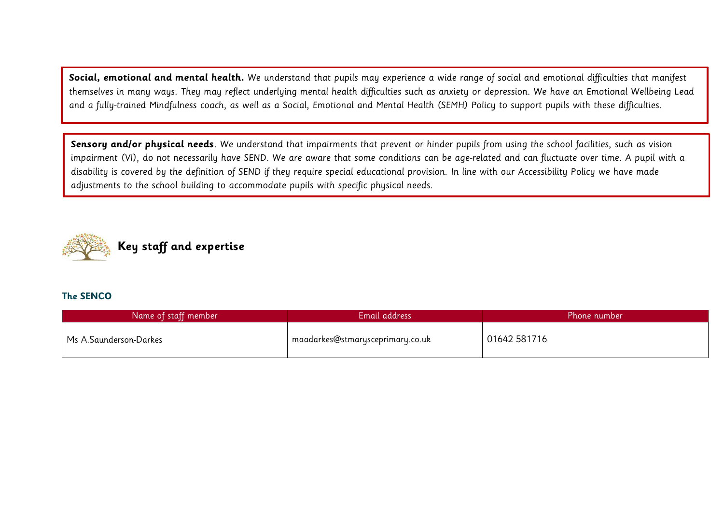**Social, emotional and mental health.** We understand that pupils may experience a wide range of social and emotional difficulties that manifest themselves in many ways. They may reflect underlying mental health difficulties such as anxiety or depression. We have an Emotional Wellbeing Lead and a fully-trained Mindfulness coach, as well as a Social, Emotional and Mental Health (SEMH) Policy to support pupils with these difficulties.

**Sensory and/or physical needs**. We understand that impairments that prevent or hinder pupils from using the school facilities, such as vision impairment (VI), do not necessarily have SEND. We are aware that some conditions can be age-related and can fluctuate over time. A pupil with a disability is covered by the definition of SEND if they require special educational provision. In line with our Accessibility Policy we have made adjustments to the school building to accommodate pupils with specific physical needs.

<span id="page-3-0"></span>

#### **The SENCO**

| Name of staff member   | Email address                                 | Phone number |
|------------------------|-----------------------------------------------|--------------|
| Ms A.Saunderson-Darkes | <sub>I</sub> maadarkes@stmarysceprimary.co.uk | 01642581716  |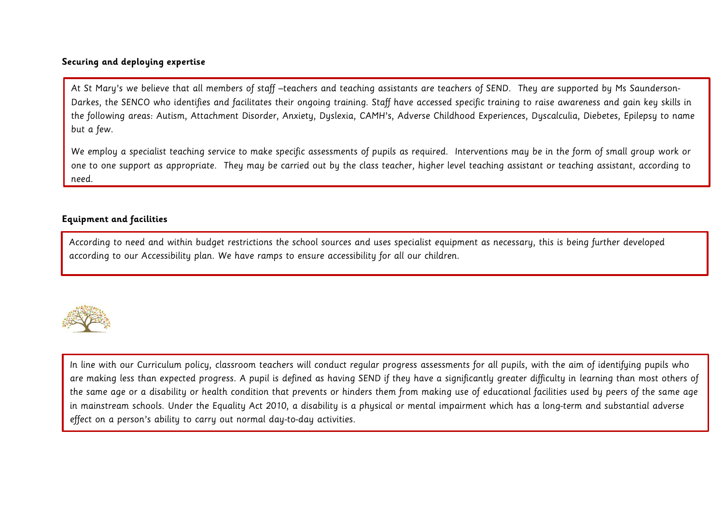### **Securing and deploying expertise**

At St Mary's we believe that all members of staff –teachers and teaching assistants are teachers of SEND. They are supported by Ms Saunderson-Darkes, the SENCO who identifies and facilitates their ongoing training. Staff have accessed specific training to raise awareness and gain key skills in the following areas: Autism, Attachment Disorder, Anxiety, Dyslexia, CAMH's, Adverse Childhood Experiences, Dyscalculia, Diebetes, Epilepsy to name but a few.

We employ a specialist teaching service to make specific assessments of pupils as required. Interventions may be in the form of small group work or one to one support as appropriate. They may be carried out by the class teacher, higher level teaching assistant or teaching assistant, according to need.

#### **Equipment and facilities**

<span id="page-4-0"></span>**Identifying and assessing pupils with SEND** according to our Accessibility plan. We have ramps to ensure accessibility for all our children. According to need and within budget restrictions the school sources and uses specialist equipment as necessary, this is being further developed



In line with our Curriculum policy, classroom teachers will conduct regular progress assessments for all pupils, with the aim of identifying pupils who are making less than expected progress. A pupil is defined as having SEND if they have a significantly greater difficulty in learning than most others of the same age or a disability or health condition that prevents or hinders them from making use of educational facilities used by peers of the same age in mainstream schools. Under the Equality Act 2010, a disability is a physical or mental impairment which has a long-term and substantial adverse effect on a person's ability to carry out normal day-to-day activities.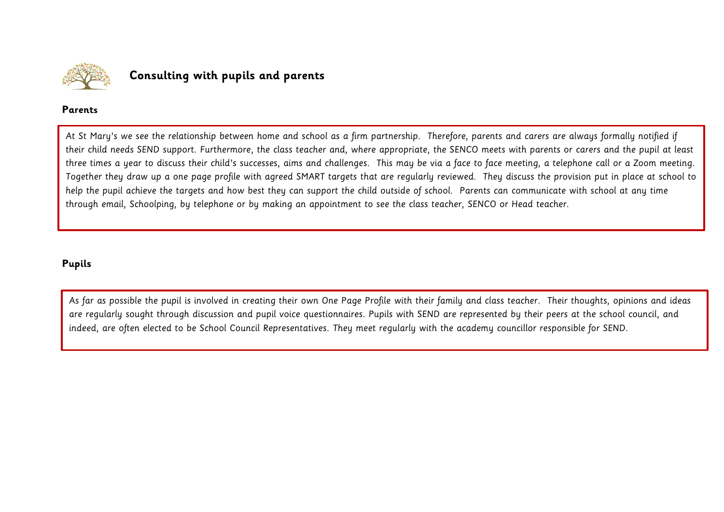

### <span id="page-5-0"></span>**Consulting with pupils and parents**

#### **Parents**

At St Mary's we see the relationship between home and school as a firm partnership. Therefore, parents and carers are always formally notified if their child needs SEND support. Furthermore, the class teacher and, where appropriate, the SENCO meets with parents or carers and the pupil at least three times a year to discuss their child's successes, aims and challenges. This may be via a face to face meeting, a telephone call or a Zoom meeting. Together they draw up a one page profile with agreed SMART targets that are regularly reviewed. They discuss the provision put in place at school to help the pupil achieve the targets and how best they can support the child outside of school. Parents can communicate with school at any time through email, Schoolping, by telephone or by making an appointment to see the class teacher, SENCO or Head teacher.

### **Pupils**

As far as possible the pupil is involved in creating their own One Page Profile with their family and class teacher. Their thoughts, opinions and ideas are regularly sought through discussion and pupil voice questionnaires. Pupils with SEND are represented by their peers at the school council, and indeed, are often elected to be School Council Representatives. They meet regularly with the academy councillor responsible for SEND.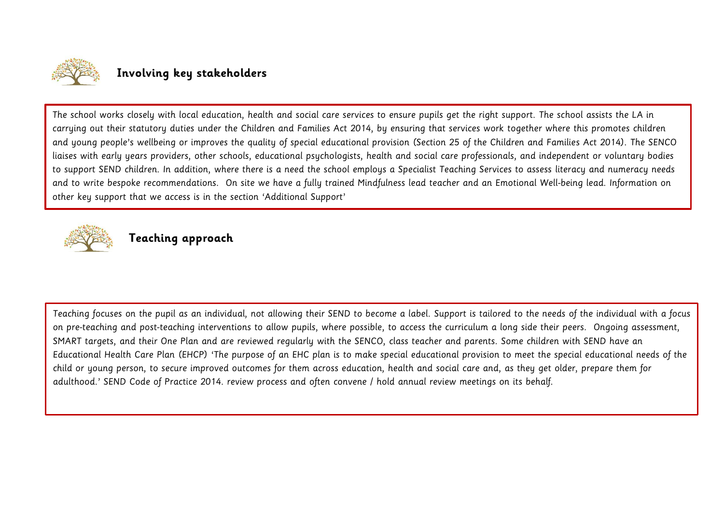

### <span id="page-6-0"></span>**Involving key stakeholders**

The school works closely with local education, health and social care services to ensure pupils get the right support. The school assists the LA in carrying out their statutory duties under the Children and Families Act 2014, by ensuring that services work together where this promotes children and young people's wellbeing or improves the quality of special educational provision (Section 25 of the Children and Families Act 2014). The SENCO liaises with early years providers, other schools, educational psychologists, health and social care professionals, and independent or voluntary bodies to support SEND children. In addition, where there is a need the school employs a Specialist Teaching Services to assess literacy and numeracy needs and to write bespoke recommendations. On site we have a fully trained Mindfulness lead teacher and an Emotional Well-being lead. Information on other key support that we access is in the section 'Additional Support'



### <span id="page-6-1"></span>**Teaching approach**

Teaching focuses on the pupil as an individual, not allowing their SEND to become a label. Support is tailored to the needs of the individual with a focus on pre-teaching and post-teaching interventions to allow pupils, where possible, to access the curriculum a long side their peers. Ongoing assessment, SMART targets, and their One Plan and are reviewed regularly with the SENCO, class teacher and parents. Some children with SEND have an Educational Health Care Plan (EHCP) 'The purpose of an EHC plan is to make special educational provision to meet the special educational needs of the child or young person, to secure improved outcomes for them across education, health and social care and, as they get older, prepare them for adulthood.' SEND Code of Practice 2014. review process and often convene / hold annual review meetings on its behalf.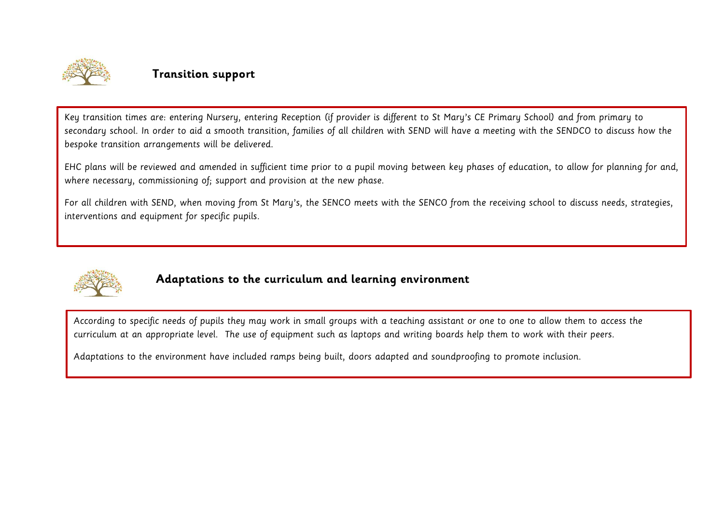

### <span id="page-7-0"></span>**Transition support**

Key transition times are: entering Nursery, entering Reception (if provider is different to St Mary's CE Primary School) and from primary to secondary school. In order to aid a smooth transition, families of all children with SEND will have a meeting with the SENDCO to discuss how the bespoke transition arrangements will be delivered.

EHC plans will be reviewed and amended in sufficient time prior to a pupil moving between key phases of education, to allow for planning for and, where necessary, commissioning of; support and provision at the new phase.

For all children with SEND, when moving from St Mary's, the SENCO meets with the SENCO from the receiving school to discuss needs, strategies, interventions and equipment for specific pupils.



### <span id="page-7-1"></span>**Adaptations to the curriculum and learning environment**

According to specific needs of pupils they may work in small groups with a teaching assistant or one to one to allow them to access the curriculum at an appropriate level. The use of equipment such as laptops and writing boards help them to work with their peers.

Adaptations to the environment have included ramps being built, doors adapted and soundproofing to promote inclusion.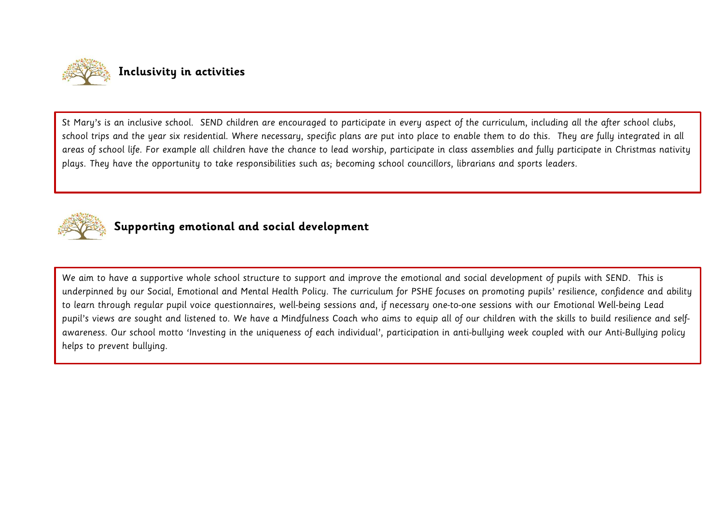<span id="page-8-0"></span>

St Mary's is an inclusive school. SEND children are encouraged to participate in every aspect of the curriculum, including all the after school clubs, school trips and the year six residential. Where necessary, specific plans are put into place to enable them to do this. They are fully integrated in all areas of school life. For example all children have the chance to lead worship, participate in class assemblies and fully participate in Christmas nativity plays. They have the opportunity to take responsibilities such as; becoming school councillors, librarians and sports leaders.



## <span id="page-8-1"></span>**Supporting emotional and social development**

We aim to have a supportive whole school structure to support and improve the emotional and social development of pupils with SEND. This is underpinned by our Social, Emotional and Mental Health Policy. The curriculum for PSHE focuses on promoting pupils' resilience, confidence and ability to learn through regular pupil voice questionnaires, well-being sessions and, if necessary one-to-one sessions with our Emotional Well-being Lead pupil's views are sought and listened to. We have a Mindfulness Coach who aims to equip all of our children with the skills to build resilience and selfawareness. Our school motto 'Investing in the uniqueness of each individual', participation in anti-bullying week coupled with our Anti-Bullying policy helps to prevent bullying.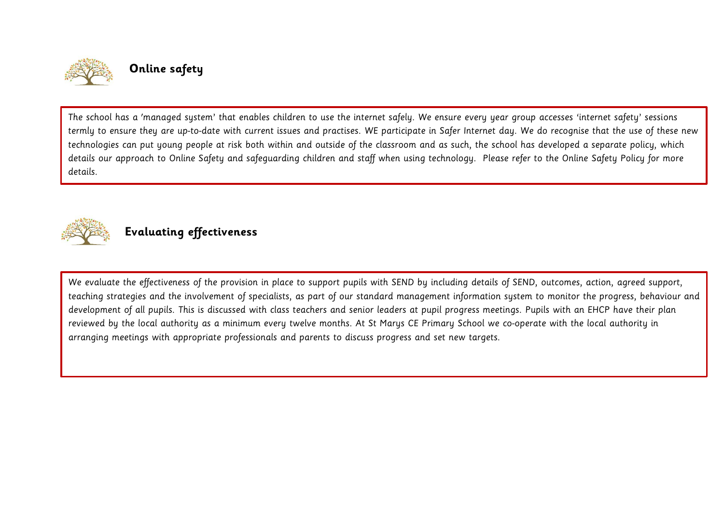

## <span id="page-9-0"></span>**Online safety**

The school has a 'managed system' that enables children to use the internet safely. We ensure every year group accesses 'internet safety' sessions termly to ensure they are up-to-date with current issues and practises. WE participate in Safer Internet day. We do recognise that the use of these new technologies can put young people at risk both within and outside of the classroom and as such, the school has developed a separate policy, which details our approach to Online Safety and safeguarding children and staff when using technology. Please refer to the Online Safety Policy for more details.



## <span id="page-9-1"></span>**Evaluating effectiveness**

We evaluate the effectiveness of the provision in place to support pupils with SEND by including details of SEND, outcomes, action, agreed support, teaching strategies and the involvement of specialists, as part of our standard management information system to monitor the progress, behaviour and development of all pupils. This is discussed with class teachers and senior leaders at pupil progress meetings. Pupils with an EHCP have their plan reviewed by the local authority as a minimum every twelve months. At St Marys CE Primary School we co-operate with the local authority in arranging meetings with appropriate professionals and parents to discuss progress and set new targets.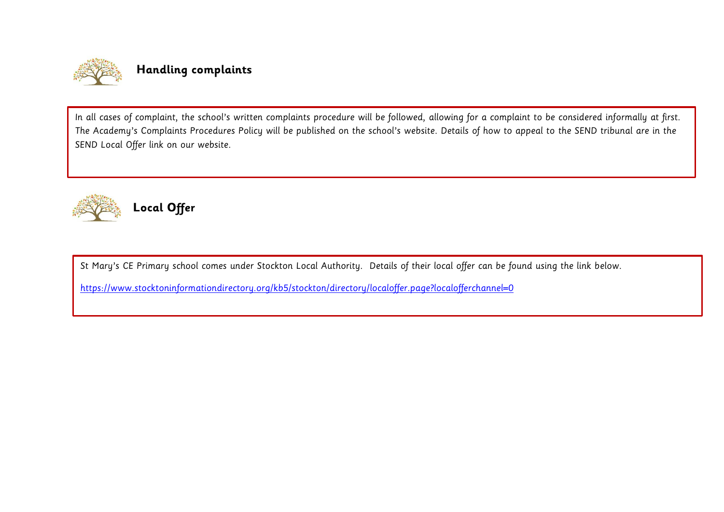

## <span id="page-10-0"></span>**Handling complaints**

In all cases of complaint, the school's written complaints procedure will be followed, allowing for a complaint to be considered informally at first. The Academy's Complaints Procedures Policy will be published on the school's website. Details of how to appeal to the SEND tribunal are in the SEND Local Offer link on our website.



<span id="page-10-1"></span>**Local Offer**

St Mary's CE Primary school comes under Stockton Local Authority. Details of their local offer can be found using the link below.

<https://www.stocktoninformationdirectory.org/kb5/stockton/directory/localoffer.page?localofferchannel=0>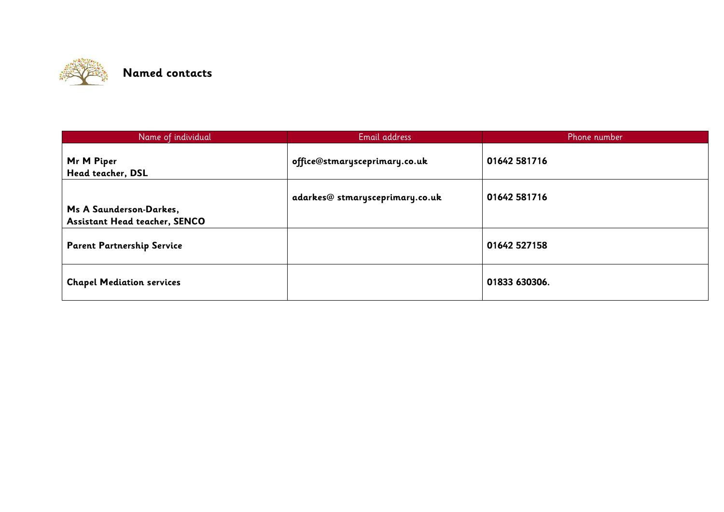<span id="page-11-0"></span>

| Name of individual                                              | Email address                  | Phone number  |
|-----------------------------------------------------------------|--------------------------------|---------------|
| Mr M Piper<br>Head teacher, DSL                                 | office@stmarysceprimary.co.uk  | 01642 581716  |
| Ms A Saunderson-Darkes,<br><b>Assistant Head teacher, SENCO</b> | adarkes@stmarysceprimary.co.uk | 01642 581716  |
| <b>Parent Partnership Service</b>                               |                                | 01642 527158  |
| <b>Chapel Mediation services</b>                                |                                | 01833 630306. |